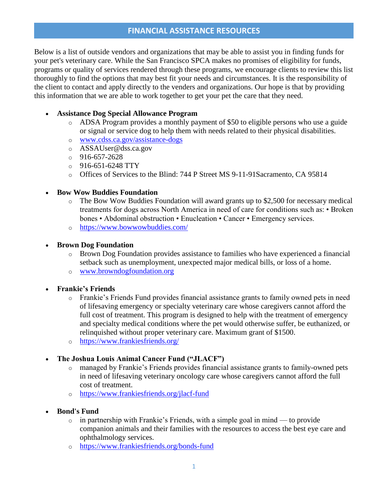# **FINANCIAL ASSISTANCE RESOURCES**

Below is a list of outside vendors and organizations that may be able to assist you in finding funds for your pet's veterinary care. While the San Francisco SPCA makes no promises of eligibility for funds, programs or quality of services rendered through these programs, we encourage clients to review this list thoroughly to find the options that may best fit your needs and circumstances. It is the responsibility of the client to contact and apply directly to the venders and organizations. Our hope is that by providing this information that we are able to work together to get your pet the care that they need.

### **Assistance Dog Special Allowance Program**

- o ADSA Program provides a monthly payment of \$50 to eligible persons who use a guide or signal or service dog to help them with needs related to their physical disabilities.
- o [www.cdss.ca.gov/assistance-dogs](http://www.cdss.ca.gov/assistance-dogs)
- o ASSAUser@dss.ca.gov
- $0.916 657 2628$
- $O = 916-651-6248$  TTY
- o Offices of Services to the Blind: 744 P Street MS 9-11-91Sacramento, CA 95814

#### **Bow Wow Buddies Foundation**

- o The Bow Wow Buddies Foundation will award grants up to \$2,500 for necessary medical treatments for dogs across North America in need of care for conditions such as: • Broken bones • Abdominal obstruction • Enucleation • Cancer • Emergency services.
- o <https://www.bowwowbuddies.com/>

#### **Brown Dog Foundation**

- o Brown Dog Foundation provides assistance to families who have experienced a financial setback such as unemployment, unexpected major medical bills, or loss of a home.
- o [www.browndogfoundation.org](http://www.browndogfoundation.org/)
- **Frankie's Friends**
	- o Frankie's Friends Fund provides financial assistance grants to family owned pets in need of lifesaving emergency or specialty veterinary care whose caregivers cannot afford the full cost of treatment. This program is designed to help with the treatment of emergency and specialty medical conditions where the pet would otherwise suffer, be euthanized, or relinquished without proper veterinary care. Maximum grant of \$1500.
	- o <https://www.frankiesfriends.org/>

### **The Joshua Louis Animal Cancer Fund ("JLACF")**

- o managed by Frankie's Friends provides financial assistance grants to family-owned pets in need of lifesaving veterinary oncology care whose caregivers cannot afford the full cost of treatment.
- o <https://www.frankiesfriends.org/jlacf-fund>
- **Bond's Fund**
	- o in partnership with Frankie's Friends, with a simple goal in mind to provide companion animals and their families with the resources to access the best eye care and ophthalmology services.
	- o <https://www.frankiesfriends.org/bonds-fund>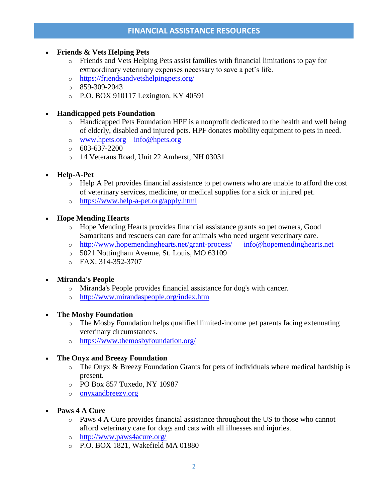# **FINANCIAL ASSISTANCE RESOURCES**

#### **Friends & Vets Helping Pets**

- o Friends and Vets Helping Pets assist families with financial limitations to pay for extraordinary veterinary expenses necessary to save a pet's life.
- o <https://friendsandvetshelpingpets.org/>
- o 859-309-2043
- o P.O. BOX 910117 Lexington, KY 40591

#### **Handicapped pets Foundation**

- o Handicapped Pets Foundation HPF is a nonprofit dedicated to the health and well being of elderly, disabled and injured pets. HPF donates mobility equipment to pets in need.
- o [www.hpets.org](http://www.hpets.org/) [info@hpets.org](mailto:info@hpets.org)
- $\circ$  603-637-2200
- o 14 Veterans Road, Unit 22 Amherst, NH 03031
- **Help-A-Pet** 
	- o Help A Pet provides financial assistance to pet owners who are unable to afford the cost of veterinary services, medicine, or medical supplies for a sick or injured pet.
	- o <https://www.help-a-pet.org/apply.html>
- **Hope Mending Hearts** 
	- o Hope Mending Hearts provides financial assistance grants so pet owners, Good Samaritans and rescuers can care for animals who need urgent veterinary care.
	- o <http://www.hopemendinghearts.net/grant-process/> [info@hopemendinghearts.net](mailto:info@hopemendinghearts.net)
	- o 5021 Nottingham Avenue, St. Louis, MO 63109
	- o FAX: 314-352-3707
- **Miranda's People**
	- o Miranda's People provides financial assistance for dog's with cancer.
	- o <http://www.mirandaspeople.org/index.htm>
- **The Mosby Foundation** 
	- o The Mosby Foundation helps qualified limited-income pet parents facing extenuating veterinary circumstances.
	- o <https://www.themosbyfoundation.org/>

### **The Onyx and Breezy Foundation**

- o The Onyx & Breezy Foundation Grants for pets of individuals where medical hardship is present.
- o PO Box 857 Tuxedo, NY 10987
- o [onyxandbreezy.org](mailto:info@onyxandbreezy.org)
- **Paws 4 A Cure** 
	- $\circ$  Paws 4 A Cure provides financial assistance throughout the US to those who cannot afford veterinary care for dogs and cats with all illnesses and injuries.
	- o <http://www.paws4acure.org/>
	- o P.O. BOX 1821, Wakefield MA 01880